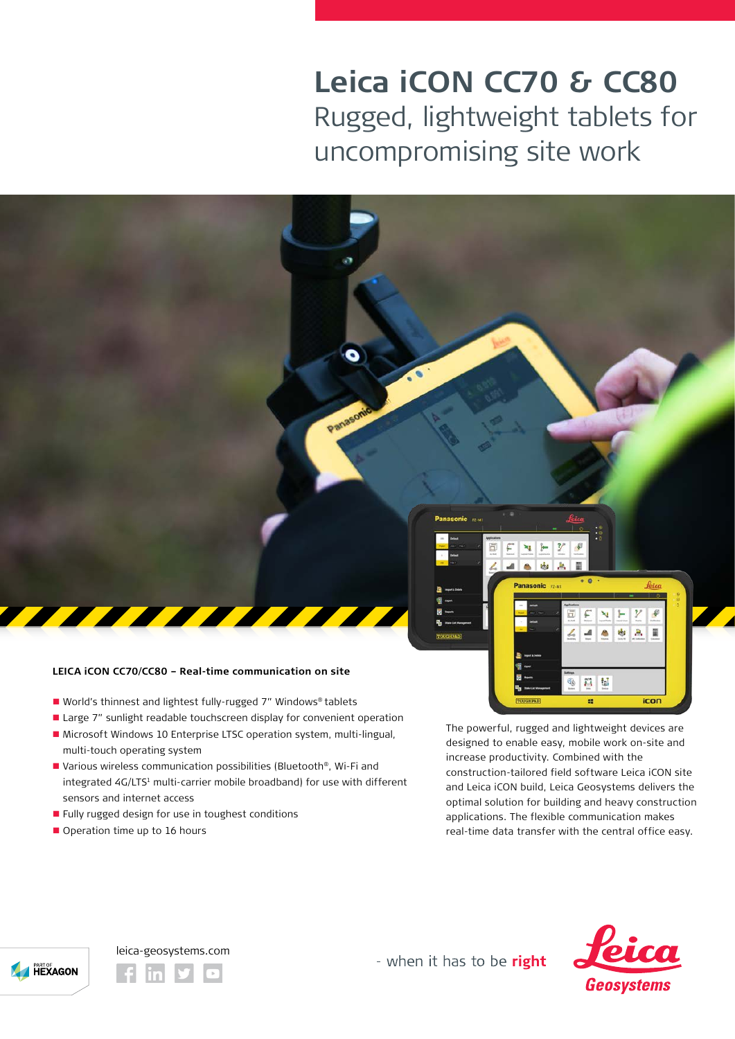## **Leica iCON CC70 & CC80** Rugged, lightweight tablets for uncompromising site work



- World's thinnest and lightest fully-rugged 7" Windows® tablets
- Large 7" sunlight readable touchscreen display for convenient operation
- Microsoft Windows 10 Enterprise LTSC operation system, multi-lingual, multi-touch operating system
- Various wireless communication possibilities (Bluetooth®, Wi-Fi and integrated 4G/LTS<sup>1</sup> multi-carrier mobile broadband) for use with different sensors and internet access
- **Fully rugged design for use in toughest conditions**
- Operation time up to 16 hours

The powerful, rugged and lightweight devices are designed to enable easy, mobile work on-site and increase productivity. Combined with the construction-tailored field software Leica iCON site and Leica iCON build, Leica Geosystems delivers the optimal solution for building and heavy construction applications. The flexible communication makes real-time data transfer with the central office easy.



leica-geosystems.com

- when it has to be right